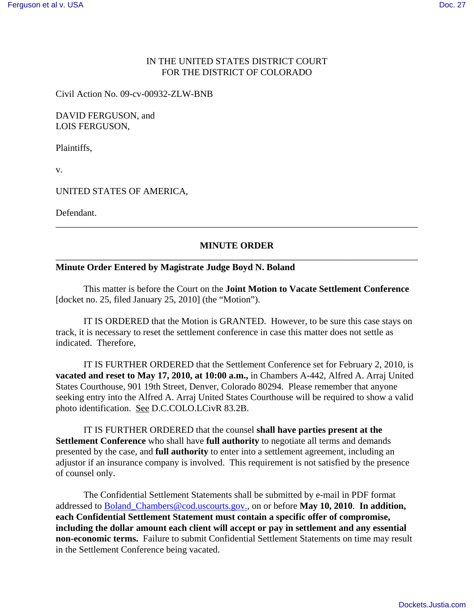# IN THE UNITED STATES DISTRICT COURT FOR THE DISTRICT OF COLORADO

Civil Action No. 09-cv-00932-ZLW-BNB

### DAVID FERGUSON, and LOIS FERGUSON,

Plaintiffs,

v.

### UNITED STATES OF AMERICA,

Defendant.

# **MINUTE ORDER** \_\_\_\_\_\_\_\_\_\_\_\_\_\_\_\_\_\_\_\_\_\_\_\_\_\_\_\_\_\_\_\_\_\_\_\_\_\_\_\_\_\_\_\_\_\_\_\_\_\_\_\_\_\_\_\_\_\_\_\_\_\_\_\_\_\_\_\_\_\_\_\_\_\_\_\_\_\_

\_\_\_\_\_\_\_\_\_\_\_\_\_\_\_\_\_\_\_\_\_\_\_\_\_\_\_\_\_\_\_\_\_\_\_\_\_\_\_\_\_\_\_\_\_\_\_\_\_\_\_\_\_\_\_\_\_\_\_\_\_\_\_\_\_\_\_\_\_\_\_\_\_\_\_\_\_\_

#### **Minute Order Entered by Magistrate Judge Boyd N. Boland**

This matter is before the Court on the **Joint Motion to Vacate Settlement Conference** [docket no. 25, filed January 25, 2010] (the "Motion").

IT IS ORDERED that the Motion is GRANTED. However, to be sure this case stays on track, it is necessary to reset the settlement conference in case this matter does not settle as indicated. Therefore,

IT IS FURTHER ORDERED that the Settlement Conference set for February 2, 2010, is **vacated and reset to May 17, 2010, at 10:00 a.m.,** in Chambers A-442, Alfred A. Arraj United States Courthouse, 901 19th Street, Denver, Colorado 80294. Please remember that anyone seeking entry into the Alfred A. Arraj United States Courthouse will be required to show a valid photo identification. See D.C.COLO.LCivR 83.2B.

IT IS FURTHER ORDERED that the counsel **shall have parties present at the Settlement Conference** who shall have **full authority** to negotiate all terms and demands presented by the case, and **full authority** to enter into a settlement agreement, including an adjustor if an insurance company is involved. This requirement is not satisfied by the presence of counsel only.

The Confidential Settlement Statements shall be submitted by e-mail in PDF format addressed to Boland\_Chambers@cod.uscourts.gov., on or before **May 10, 2010**. **In addition, each Confidential Settlement Statement must contain a specific offer of compromise, including the dollar amount each client will accept or pay in settlement and any essential non-economic terms.** Failure to submit Confidential Settlement Statements on time may result in the Settlement Conference being vacated.